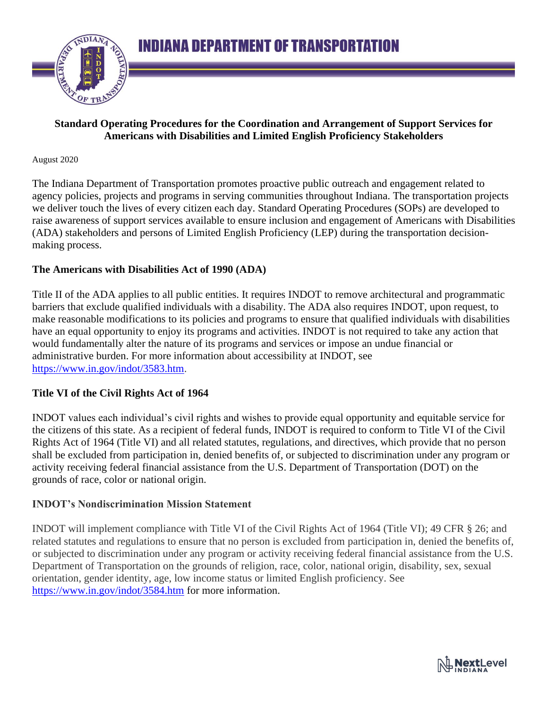

### **Standard Operating Procedures for the Coordination and Arrangement of Support Services for Americans with Disabilities and Limited English Proficiency Stakeholders**

#### August 2020

The Indiana Department of Transportation promotes proactive public outreach and engagement related to agency policies, projects and programs in serving communities throughout Indiana. The transportation projects we deliver touch the lives of every citizen each day. Standard Operating Procedures (SOPs) are developed to raise awareness of support services available to ensure inclusion and engagement of Americans with Disabilities (ADA) stakeholders and persons of Limited English Proficiency (LEP) during the transportation decisionmaking process.

### **The Americans with Disabilities Act of 1990 (ADA)**

Title II of the ADA applies to all public entities. It requires INDOT to remove architectural and programmatic barriers that exclude qualified individuals with a disability. The ADA also requires INDOT, upon request, to make reasonable modifications to its policies and programs to ensure that qualified individuals with disabilities have an equal opportunity to enjoy its programs and activities. INDOT is not required to take any action that would fundamentally alter the nature of its programs and services or impose an undue financial or administrative burden. For more information about accessibility at INDOT, see [https://www.in.gov/indot/3583.htm.](https://www.in.gov/indot/3583.htm)

## **Title VI of the Civil Rights Act of 1964**

INDOT values each individual's civil rights and wishes to provide equal opportunity and equitable service for the citizens of this state. As a recipient of federal funds, INDOT is required to conform to Title VI of the Civil Rights Act of 1964 (Title VI) and all related statutes, regulations, and directives, which provide that no person shall be excluded from participation in, denied benefits of, or subjected to discrimination under any program or activity receiving federal financial assistance from the U.S. Department of Transportation (DOT) on the grounds of race, color or national origin.

## **INDOT's Nondiscrimination Mission Statement**

INDOT will implement compliance with Title VI of the Civil Rights Act of 1964 (Title VI); 49 CFR § 26; and related statutes and regulations to ensure that no person is excluded from participation in, denied the benefits of, or subjected to discrimination under any program or activity receiving federal financial assistance from the U.S. Department of Transportation on the grounds of religion, race, color, national origin, disability, sex, sexual orientation, gender identity, age, low income status or limited English proficiency. See <https://www.in.gov/indot/3584.htm> for more information.

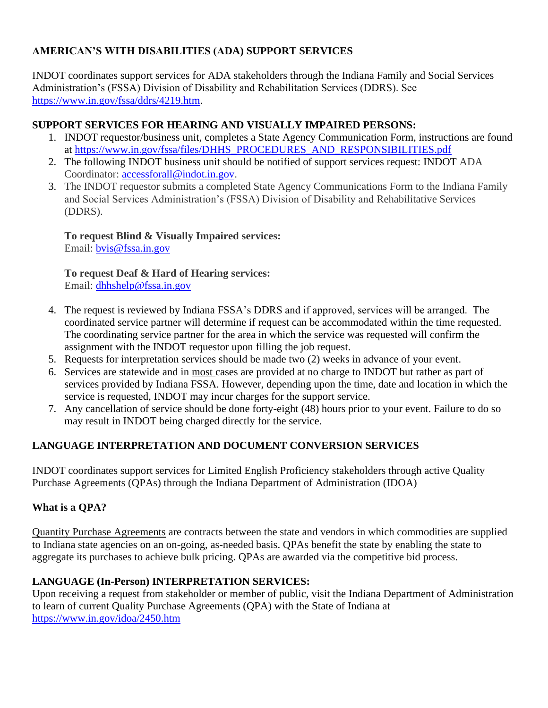## **AMERICAN'S WITH DISABILITIES (ADA) SUPPORT SERVICES**

INDOT coordinates support services for ADA stakeholders through the Indiana Family and Social Services Administration's (FSSA) Division of Disability and Rehabilitation Services (DDRS). See [https://www.in.gov/fssa/ddrs/4219.htm.](https://www.in.gov/fssa/ddrs/4219.htm)

## **SUPPORT SERVICES FOR HEARING AND VISUALLY IMPAIRED PERSONS:**

- 1. INDOT requestor/business unit, completes a State Agency Communication Form, instructions are found at [https://www.in.gov/fssa/files/DHHS\\_PROCEDURES\\_AND\\_RESPONSIBILITIES.pdf](https://www.in.gov/fssa/files/DHHS_PROCEDURES_AND_RESPONSIBILITIES.pdf)
- 2. The following INDOT business unit should be notified of support services request: INDOT ADA Coordinator: [accessforall@indot.in.gov.](mailto:accessforall@indot.in.gov)
- 3. The INDOT requestor submits a completed State Agency Communications Form to the Indiana Family and Social Services Administration's (FSSA) Division of Disability and Rehabilitative Services (DDRS).

**To request Blind & Visually Impaired services:** Email: [bvis@fssa.in.gov](mailto:bvis@fssa.in.gov)

**To request Deaf & Hard of Hearing services:** Email: [dhhshelp@fssa.in.gov](mailto:dhhshelp@fssa.in.gov)

- 4. The request is reviewed by Indiana FSSA's DDRS and if approved, services will be arranged. The coordinated service partner will determine if request can be accommodated within the time requested. The coordinating service partner for the area in which the service was requested will confirm the assignment with the INDOT requestor upon filling the job request.
- 5. Requests for interpretation services should be made two (2) weeks in advance of your event.
- 6. Services are statewide and in most cases are provided at no charge to INDOT but rather as part of services provided by Indiana FSSA. However, depending upon the time, date and location in which the service is requested, INDOT may incur charges for the support service.
- 7. Any cancellation of service should be done forty-eight (48) hours prior to your event. Failure to do so may result in INDOT being charged directly for the service.

# **LANGUAGE INTERPRETATION AND DOCUMENT CONVERSION SERVICES**

INDOT coordinates support services for Limited English Proficiency stakeholders through active Quality Purchase Agreements (QPAs) through the Indiana Department of Administration (IDOA)

# **What is a QPA?**

Quantity Purchase Agreements are contracts between the state and vendors in which commodities are supplied to Indiana state agencies on an on-going, as-needed basis. QPAs benefit the state by enabling the state to aggregate its purchases to achieve bulk pricing. QPAs are awarded via the competitive bid process.

# **LANGUAGE (In-Person) INTERPRETATION SERVICES:**

Upon receiving a request from stakeholder or member of public, visit the Indiana Department of Administration to learn of current Quality Purchase Agreements (QPA) with the State of Indiana at <https://www.in.gov/idoa/2450.htm>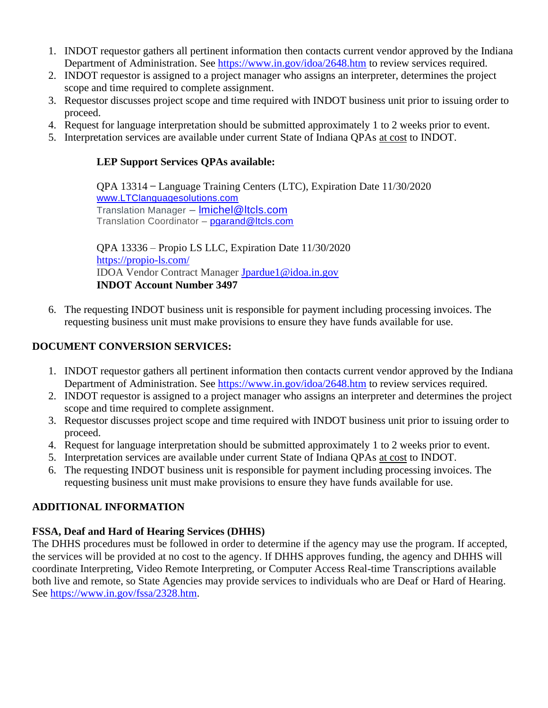- 1. INDOT requestor gathers all pertinent information then contacts current vendor approved by the Indiana Department of Administration. See<https://www.in.gov/idoa/2648.htm> to review services required.
- 2. INDOT requestor is assigned to a project manager who assigns an interpreter, determines the project scope and time required to complete assignment.
- 3. Requestor discusses project scope and time required with INDOT business unit prior to issuing order to proceed.
- 4. Request for language interpretation should be submitted approximately 1 to 2 weeks prior to event.
- 5. Interpretation services are available under current State of Indiana QPAs at cost to INDOT.

### **LEP Support Services QPAs available:**

QPA 13314 ̶Language Training Centers (LTC), Expiration Date 11/30/2020 [www.LTClanguagesolutions.com](http://www.ltclanguagesolutions.com/) Translation Manager - Imichel@ltcls.com Translation Coordinator - [pgarand@ltcls.com](mailto:pgarand@ltcls.com)

QPA 13336 – Propio LS LLC, Expiration Date 11/30/2020 <https://propio-ls.com/> IDOA Vendor Contract Manager [Jpardue1@idoa.in.gov](mailto:Jpardue1@idoa.in.gov) **INDOT Account Number 3497**

6. The requesting INDOT business unit is responsible for payment including processing invoices. The requesting business unit must make provisions to ensure they have funds available for use.

### **DOCUMENT CONVERSION SERVICES:**

- 1. INDOT requestor gathers all pertinent information then contacts current vendor approved by the Indiana Department of Administration. See<https://www.in.gov/idoa/2648.htm> to review services required.
- 2. INDOT requestor is assigned to a project manager who assigns an interpreter and determines the project scope and time required to complete assignment.
- 3. Requestor discusses project scope and time required with INDOT business unit prior to issuing order to proceed.
- 4. Request for language interpretation should be submitted approximately 1 to 2 weeks prior to event.
- 5. Interpretation services are available under current State of Indiana QPAs at cost to INDOT.
- 6. The requesting INDOT business unit is responsible for payment including processing invoices. The requesting business unit must make provisions to ensure they have funds available for use.

## **ADDITIONAL INFORMATION**

# **FSSA, Deaf and Hard of Hearing Services (DHHS)**

The DHHS procedures must be followed in order to determine if the agency may use the program. If accepted, the services will be provided at no cost to the agency. If DHHS approves funding, the agency and DHHS will coordinate Interpreting, Video Remote Interpreting, or Computer Access Real-time Transcriptions available both live and remote, so State Agencies may provide services to individuals who are Deaf or Hard of Hearing. See [https://www.in.gov/fssa/2328.htm.](https://www.in.gov/fssa/2328.htm)